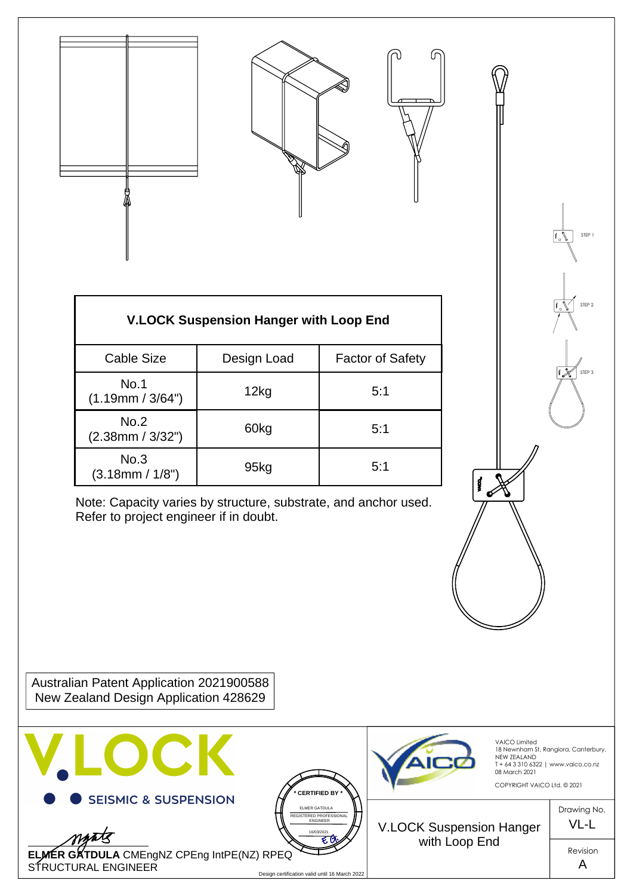



STEP 1

STEP 2

STEP 3

| <b>V.LOCK Suspension Hanger with Loop End</b> |             |                         |
|-----------------------------------------------|-------------|-------------------------|
| <b>Cable Size</b>                             | Design Load | <b>Factor of Safety</b> |
| No.1<br>(1.19mm / 3/64")                      | 12kg        | 5:1                     |
| No.2<br>(2.38mm / 3/32")                      | 60kg        | 5:1                     |
| No.3<br>(3.18mm / 1/8")                       | 95kg        | 5:1                     |

Refer to project engineer if in doubt.

Australian Patent Application 2021900588 New Zealand Design Application 428629